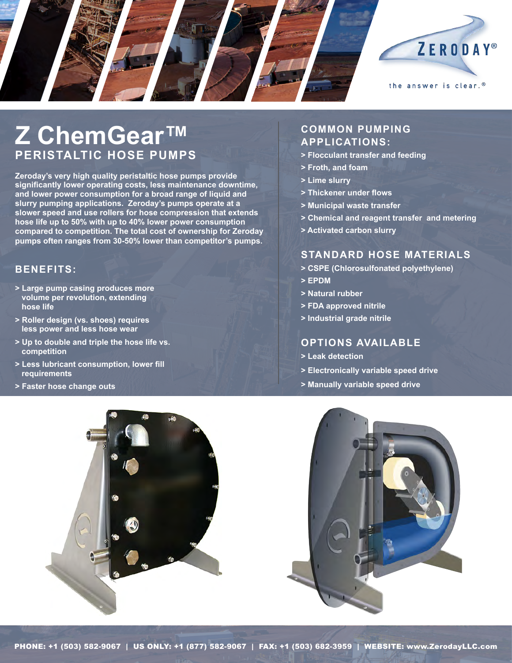

# **Z ChemGear™ Peristaltic Hose Pumps**

**Zeroday's very high quality peristaltic hose pumps provide significantly lower operating costs, less maintenance downtime, and lower power consumption for a broad range of liquid and slurry pumping applications. Zeroday's pumps operate at a slower speed and use rollers for hose compression that extends hose life up to 50% with up to 40% lower power consumption compared to competition. The total cost of ownership for Zeroday pumps often ranges from 30-50% lower than competitor's pumps.** 

## **Benefits:**

- **> Large pump casing produces more volume per revolution, extending hose life**
- **> Roller design (vs. shoes) requires less power and less hose wear**
- **> Up to double and triple the hose life vs. competition**
- **> Less lubricant consumption, lower fill requirements**
- **> Faster hose change outs**

# **Common pumping applications:**

- **> Flocculant transfer and feeding**
- **> Froth, and foam**
- **> Lime slurry**
- **> Thickener under flows**
- **> Municipal waste transfer**
- **> Chemical and reagent transfer and metering**
- **> Activated carbon slurry**

## **Standard hose materials**

- **> CSPE (Chlorosulfonated polyethylene)**
- **> EPDM**
- **> Natural rubber**
- **> FDA approved nitrile**
- **> Industrial grade nitrile**

## **Options available**

- **> Leak detection**
- **> Electronically variable speed drive**
- **> Manually variable speed drive**